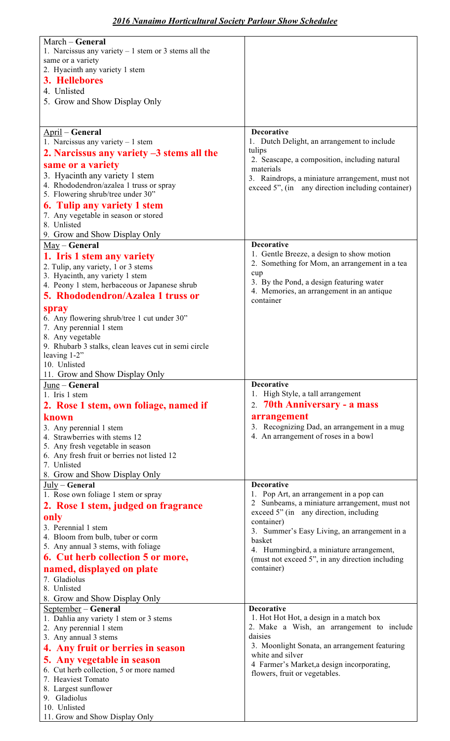| March - General                                                                  |                                                                                         |
|----------------------------------------------------------------------------------|-----------------------------------------------------------------------------------------|
| 1. Narcissus any variety $-1$ stem or 3 stems all the                            |                                                                                         |
| same or a variety                                                                |                                                                                         |
| 2. Hyacinth any variety 1 stem                                                   |                                                                                         |
| 3. Hellebores                                                                    |                                                                                         |
| 4. Unlisted                                                                      |                                                                                         |
| 5. Grow and Show Display Only                                                    |                                                                                         |
|                                                                                  |                                                                                         |
| April – General                                                                  | <b>Decorative</b>                                                                       |
| 1. Narcissus any variety $-1$ stem                                               | 1. Dutch Delight, an arrangement to include                                             |
| 2. Narcissus any variety $-3$ stems all the                                      | tulips                                                                                  |
|                                                                                  | 2. Seascape, a composition, including natural                                           |
| same or a variety<br>3. Hyacinth any variety 1 stem                              | materials                                                                               |
| 4. Rhododendron/azalea 1 truss or spray                                          | 3. Raindrops, a miniature arrangement, must not                                         |
| 5. Flowering shrub/tree under 30"                                                | exceed 5", (in any direction including container)                                       |
| <b>6. Tulip any variety 1 stem</b>                                               |                                                                                         |
| 7. Any vegetable in season or stored                                             |                                                                                         |
| 8. Unlisted                                                                      |                                                                                         |
| 9. Grow and Show Display Only                                                    |                                                                                         |
| $May - General$                                                                  | <b>Decorative</b>                                                                       |
| 1. Iris 1 stem any variety                                                       | 1. Gentle Breeze, a design to show motion                                               |
| 2. Tulip, any variety, 1 or 3 stems                                              | 2. Something for Mom, an arrangement in a tea<br>cup                                    |
| 3. Hyacinth, any variety 1 stem<br>4. Peony 1 stem, herbaceous or Japanese shrub | 3. By the Pond, a design featuring water                                                |
| 5. Rhododendron/Azalea 1 truss or                                                | 4. Memories, an arrangement in an antique                                               |
|                                                                                  | container                                                                               |
| spray<br>6. Any flowering shrub/tree 1 cut under 30"                             |                                                                                         |
| 7. Any perennial 1 stem                                                          |                                                                                         |
| 8. Any vegetable                                                                 |                                                                                         |
| 9. Rhubarb 3 stalks, clean leaves cut in semi circle                             |                                                                                         |
| leaving 1-2"                                                                     |                                                                                         |
| 10. Unlisted                                                                     |                                                                                         |
| 11. Grow and Show Display Only                                                   |                                                                                         |
|                                                                                  |                                                                                         |
| June - General                                                                   | <b>Decorative</b>                                                                       |
| 1. Iris 1 stem                                                                   | 1. High Style, a tall arrangement                                                       |
| 2. Rose 1 stem, own foliage, named if                                            | 2. 70th Anniversary - a mass                                                            |
| known                                                                            | arrangement                                                                             |
| 3. Any perennial 1 stem<br>4. Strawberries with stems 12                         | 3. Recognizing Dad, an arrangement in a mug<br>4. An arrangement of roses in a bowl     |
| 5. Any fresh vegetable in season                                                 |                                                                                         |
| 6. Any fresh fruit or berries not listed 12                                      |                                                                                         |
| 7. Unlisted                                                                      |                                                                                         |
| 8. Grow and Show Display Only                                                    |                                                                                         |
| July - General                                                                   | <b>Decorative</b>                                                                       |
| 1. Rose own foliage 1 stem or spray                                              | 1. Pop Art, an arrangement in a pop can                                                 |
| 2. Rose 1 stem, judged on fragrance                                              | 2 Sunbeams, a miniature arrangement, must not<br>exceed 5" (in any direction, including |
| only                                                                             | container)                                                                              |
| 3. Perennial 1 stem                                                              | 3. Summer's Easy Living, an arrangement in a                                            |
| 4. Bloom from bulb, tuber or corm<br>5. Any annual 3 stems, with foliage         | basket                                                                                  |
| 6. Cut herb collection 5 or more,                                                | 4. Hummingbird, a miniature arrangement,                                                |
|                                                                                  | (must not exceed 5", in any direction including<br>container)                           |
| named, displayed on plate<br>7. Gladiolus                                        |                                                                                         |
| 8. Unlisted                                                                      |                                                                                         |
| 8. Grow and Show Display Only                                                    |                                                                                         |
| September - General                                                              | <b>Decorative</b>                                                                       |
| 1. Dahlia any variety 1 stem or 3 stems                                          | 1. Hot Hot Hot, a design in a match box                                                 |
| 2. Any perennial 1 stem                                                          | 2. Make a Wish, an arrangement to include<br>daisies                                    |
| 3. Any annual 3 stems                                                            | 3. Moonlight Sonata, an arrangement featuring                                           |
| 4. Any fruit or berries in season                                                | white and silver                                                                        |
| 5. Any vegetable in season                                                       | 4 Farmer's Market, a design incorporating,                                              |
| 6. Cut herb collection, 5 or more named<br>7. Heaviest Tomato                    | flowers, fruit or vegetables.                                                           |
| 8. Largest sunflower                                                             |                                                                                         |
| 9. Gladiolus                                                                     |                                                                                         |
| 10. Unlisted<br>11. Grow and Show Display Only                                   |                                                                                         |